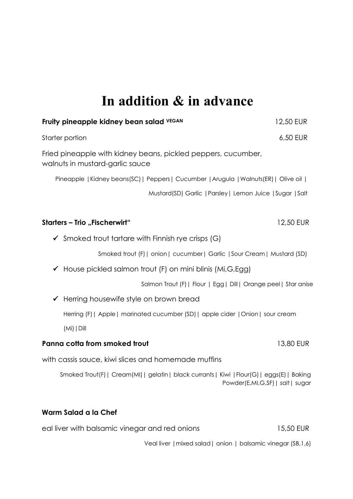### **In addition & in advance**

| Fruity pineapple kidney bean salad VEGAN                                                                                        | 12,50 EUR |
|---------------------------------------------------------------------------------------------------------------------------------|-----------|
| Starter portion                                                                                                                 | 6,50 EUR  |
| Fried pineapple with kidney beans, pickled peppers, cucumber,<br>walnuts in mustard-garlic sauce                                |           |
| Pineapple   Kidney beans(SC)   Peppers   Cucumber   Arugula   Walnuts(ER)   Olive oil                                           |           |
| Mustard(SD) Garlic   Parsley   Lemon Juice   Sugar   Salt                                                                       |           |
| <b>Starters - Trio</b> "Fischerwirt"                                                                                            | 12,50 EUR |
| $\checkmark$ Smoked trout tartare with Finnish rye crisps (G)                                                                   |           |
| Smoked trout (F)   onion   cucumber   Garlic   Sour Cream   Mustard (SD)                                                        |           |
| $\checkmark$ House pickled salmon trout (F) on mini blinis (Mi,G,Egg)                                                           |           |
| Salmon Trout (F)   Flour   Egg   Dill   Orange peel   Star anise                                                                |           |
| Herring housewife style on brown bread                                                                                          |           |
| Herring (F)   Apple   marinated cucumber (SD)   apple cider   Onion   sour cream                                                |           |
| $(Mi)$   Dill                                                                                                                   |           |
| Panna cotta from smoked trout                                                                                                   | 13,80 EUR |
| with cassis sauce, kiwi slices and homemade muffins                                                                             |           |
| Smoked Trout(F)   Cream(MI)   gelatin   black currants   Kiwi   Flour(G)   eggs(E)   Baking<br>Powder(E,MI,G,SF)   salt   sugar |           |
| Warm Salad a la Chef                                                                                                            |           |
| eal liver with balsamic vinegar and red onions                                                                                  | 15,50 EUR |

Veal liver |mixed salad| onion | balsamic vinegar (SB,1,6)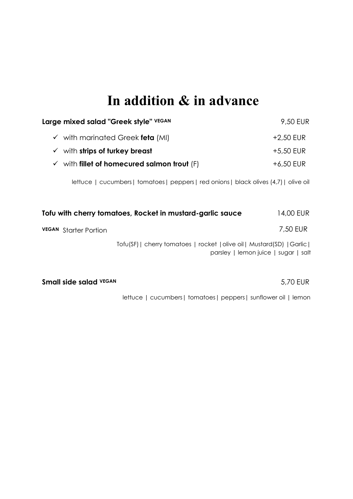## **In addition & in advance**

| Large mixed salad "Greek style" VEGAN                                                                            | 9,50 EUR    |
|------------------------------------------------------------------------------------------------------------------|-------------|
| $\checkmark$ with marinated Greek feta (MI)                                                                      | $+2,50$ EUR |
| with strips of turkey breast<br>✓                                                                                | $+5,50$ EUR |
| with fillet of homecured salmon trout $(F)$<br>$\checkmark$                                                      | $+6,50$ EUR |
| lettuce   cucumbers   tomatoes   peppers   red onions   black olives (4,7)   olive oil                           |             |
| Tofu with cherry tomatoes, Rocket in mustard-garlic sauce                                                        | 14,00 EUR   |
| <b>VEGAN</b> Starter Portion                                                                                     | 7,50 EUR    |
| Tofu(SF)   cherry tomatoes   rocket   olive oil   Mustard(SD)   Garlic  <br>parsley   lemon juice   sugar   salt |             |
| <b>Small side salad VEGAN</b>                                                                                    | 5,70 EUR    |
| lettuce   cucumbers   tomatoes   peppers   sunflower oil   lemon                                                 |             |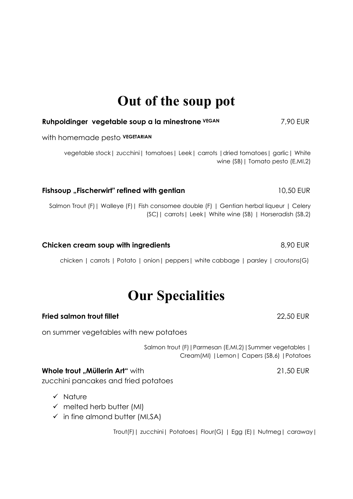### **Out of the soup pot**

### **Ruhpoldinger vegetable soup a la minestrone VEGAN** 7,90 EUR with homemade pesto **VEGETARIAN** vegetable stock| zucchini| tomatoes| Leek| carrots |dried tomatoes| garlic| White wine (SB)| Tomato pesto (E,MI,2) **Fishsoup "Fischerwirt" refined with gentian** 10,50 EUR

Salmon Trout (F)| Walleye (F)| Fish consomee double (F) | Gentian herbal liqueur | Celery (SC)| carrots| Leek| White wine (SB) | Horseradish (SB,2)

### **Chicken cream soup with ingredients Chicken Cream soup with ingredients 8,90 EUR**

chicken | carrots | Potato | onion| peppers| white cabbage | parsley | croutons(G)

### **Our Specialities**

### **Fried salmon trout fillet** 22,50 EUR

on summer vegetables with new potatoes

Salmon trout (F) | Parmesan (E,MI,2) | Summer vegetables | Cream(MI) |Lemon| Capers (SB,6) |Potatoes

### **Whole trout Müllerin Art** "with **21,50 EUR**

zucchini pancakes and fried potatoes

- ✓ Nature
- $\checkmark$  melted herb butter (MI)
- $\checkmark$  in fine almond butter (MI, SA)

Trout(F)| zucchini| Potatoes| Flour(G) | Egg (E)| Nutmeg| caraway|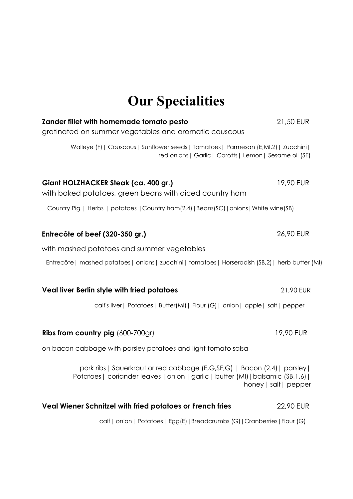# **Our Specialities**

| <b>Zander fillet with homemade tomato pesto</b><br>gratinated on summer vegetables and aromatic couscous                                                       | 21,50 EUR             |
|----------------------------------------------------------------------------------------------------------------------------------------------------------------|-----------------------|
| Walleye (F)   Couscous   Sunflower seeds   Tomatoes   Parmesan (E,MI,2)   Zucchini  <br>red onions   Garlic   Carotts   Lemon   Sesame oil (SE)                |                       |
| Giant HOLZHACKER Steak (ca. 400 gr.)<br>with baked potatoes, green beans with diced country ham                                                                | 19,90 EUR             |
| Country Pig   Herbs   potatoes   Country ham(2,4)   Beans(SC)   onions   White wine(SB)                                                                        |                       |
| Entrecôte of beef (320-350 gr.)                                                                                                                                | 26,90 EUR             |
| with mashed potatoes and summer vegetables                                                                                                                     |                       |
| Entrecôte   mashed potatoes   onions   zucchini   tomatoes   Horseradish (SB,2)   herb butter (MI)                                                             |                       |
| Veal liver Berlin style with fried potatoes                                                                                                                    | 21,90 EUR             |
| calf's liver   Potatoes   Butter(MI)   Flour (G)   onion   apple   salt   pepper                                                                               |                       |
| <b>Ribs from country pig (600-700gr)</b>                                                                                                                       | 19,90 EUR             |
| on bacon cabbage with parsley potatoes and light tomato salsa                                                                                                  |                       |
| pork ribs   Sauerkraut or red cabbage (E,G,SF,G)   Bacon (2.4)   parsley  <br>Potatoes   coriander leaves   onion   garlic   butter (MI)   balsamic (SB, 1, 6) | honey   salt   pepper |
| Veal Wiener Schnitzel with fried potatoes or French fries                                                                                                      | 22,90 EUR             |
| calf   onion   Potatoes   Egg(E)   Breadcrumbs (G)   Cranberries   Flour (G)                                                                                   |                       |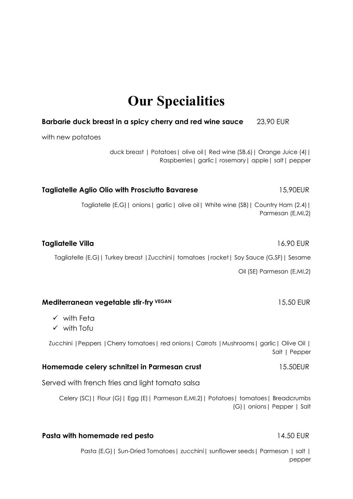### **Our Specialities**

#### **Barbarie duck breast in a spicy cherry and red wine sauce** 23,90 EUR

with new potatoes

duck breast | Potatoes| olive oil| Red wine (SB,6)| Orange Juice (4)| Raspberries| garlic| rosemary| apple| salt| pepper

Tagliatelle (E,G)| onions| garlic| olive oil| White wine (SB)| Country Ham (2.4)| Parmesan (E,MI,2)

**Tagliatelle Aglio Olio with Prosciutto Bavarese** 15,90EUR

#### **Tagliatelle Villa** 16.90 EUR

Tagliatelle (E,G)| Turkey breast |Zucchini| tomatoes |rocket| Soy Sauce (G,SF)| Sesame

Oil (SE) Parmesan (E,MI,2)

#### **Mediterranean vegetable stir-fry** VEGAN 15,50 EUR

- ✓ with Feta
- ✓ with Tofu

Zucchini | Peppers | Cherry tomatoes | red onions | Carrots | Mushrooms | garlic | Olive Oil | Salt | Pepper

#### **Homemade celery schnitzel in Parmesan crust <b>15.50EUR**

Served with french fries and light tomato salsa

Celery (SC)| Flour (G)| Egg (E)| Parmesan E,MI,2)| Potatoes| tomatoes| Breadcrumbs (G)| onions| Pepper | Salt

#### **Pasta with homemade red pesto** 14.50 EUR

Pasta (E,G) | Sun-Dried Tomatoes | zucchini | sunflower seeds | Parmesan | salt | pepper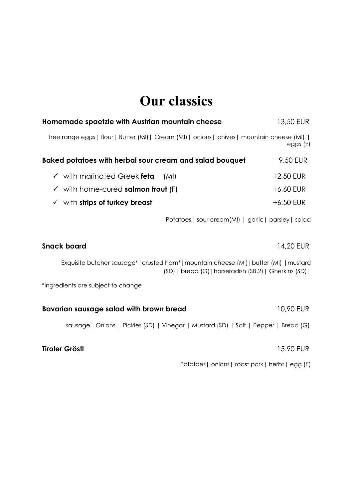## **Our classics**

| Homemade spaetzle with Austrian mountain cheese                                             |                                                                                                                                                   | 13,50 EUR   |
|---------------------------------------------------------------------------------------------|---------------------------------------------------------------------------------------------------------------------------------------------------|-------------|
| free range eggs   flour   Butter (MI)   Cream (MI)   onions   chives   mountain cheese (MI) |                                                                                                                                                   | eggs (E)    |
| Baked potatoes with herbal sour cream and salad bouquet                                     |                                                                                                                                                   | 9,50 EUR    |
| $\checkmark$ with marinated Greek feta                                                      | (MI)                                                                                                                                              | +2,50 EUR   |
| $\checkmark$ with home-cured salmon trout (F)                                               |                                                                                                                                                   | +6,60 EUR   |
| $\checkmark$ with strips of turkey breast                                                   |                                                                                                                                                   | $+6,50$ EUR |
|                                                                                             | Potatoes   sour cream(MI)   garlic   parsley   salad                                                                                              |             |
| <b>Snack board</b>                                                                          |                                                                                                                                                   | 14,20 EUR   |
|                                                                                             | Exquisite butcher sausage*   crusted ham*   mountain cheese (MI)   butter (MI)   mustard<br>(SD)   bread (G)   horseradish (SB,2)   Gherkins (SD) |             |
| *Ingredients are subject to change                                                          |                                                                                                                                                   |             |
| Bavarian sausage salad with brown bread                                                     |                                                                                                                                                   | 10,90 EUR   |
|                                                                                             | sausage   Onions   Pickles (SD)   Vinegar   Mustard (SD)   Salt   Pepper   Bread (G)                                                              |             |
| <b>Tiroler Gröstl</b>                                                                       |                                                                                                                                                   | 15.90 EUR   |
|                                                                                             | $\mathbf{D}$ and a set of the set of the set of the set of the set of the set of $\mathbf{F}$                                                     |             |

Potatoes| onions| roast pork| herbs| egg (E)